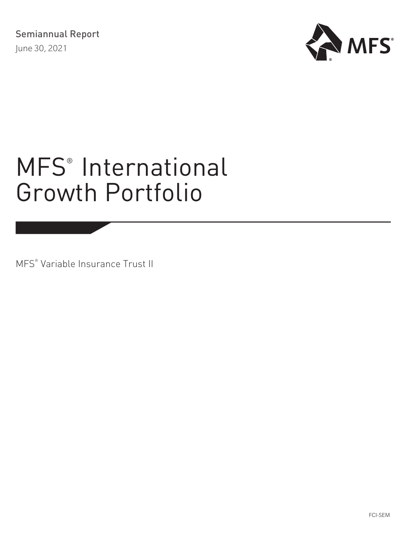

# MFS<sup>®</sup> [International](#page-1-0) [Growth Portfolio](#page-1-0)

MFS® Variable Insurance Trust II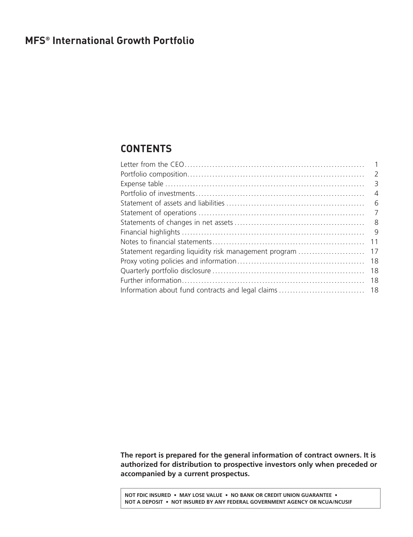# <span id="page-1-0"></span>**MFS® International Growth Portfolio**

# **CONTENTS**

|                                                       | $\overline{\phantom{a}}$ |
|-------------------------------------------------------|--------------------------|
|                                                       | $\overline{A}$           |
|                                                       | - 6                      |
|                                                       | $\overline{7}$           |
|                                                       | - 8                      |
|                                                       | - 9                      |
|                                                       | 11                       |
| Statement regarding liquidity risk management program | 17                       |
|                                                       | 18                       |
|                                                       | 18                       |
|                                                       | 18                       |
|                                                       |                          |
|                                                       |                          |

**The report is prepared for the general information of contract owners. It is authorized for distribution to prospective investors only when preceded or accompanied by a current prospectus.**

**NOT FDIC INSURED • MAY LOSE VALUE • NO BANK OR CREDIT UNION GUARANTEE • NOT A DEPOSIT • NOT INSURED BY ANY FEDERAL GOVERNMENT AGENCY OR NCUA/NCUSIF**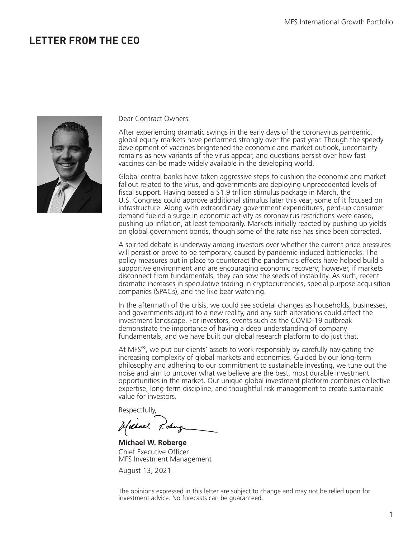# <span id="page-2-0"></span>**LETTER FROM THE CEO**



Dear Contract Owners:

After experiencing dramatic swings in the early days of the coronavirus pandemic, global equity markets have performed strongly over the past year. Though the speedy development of vaccines brightened the economic and market outlook, uncertainty remains as new variants of the virus appear, and questions persist over how fast vaccines can be made widely available in the developing world.

Global central banks have taken aggressive steps to cushion the economic and market fallout related to the virus, and governments are deploying unprecedented levels of fiscal support. Having passed a  $\overline{2}1.9$  trillion stimulus package in March, the U.S. Congress could approve additional stimulus later this year, some of it focused on infrastructure. Along with extraordinary government expenditures, pent-up consumer demand fueled a surge in economic activity as coronavirus restrictions were eased, pushing up inflation, at least temporarily. Markets initially reacted by pushing up yields on global government bonds, though some of the rate rise has since been corrected.

A spirited debate is underway among investors over whether the current price pressures will persist or prove to be temporary, caused by pandemic-induced bottlenecks. The policy measures put in place to counteract the pandemic's effects have helped build a supportive environment and are encouraging economic recovery; however, if markets disconnect from fundamentals, they can sow the seeds of instability. As such, recent dramatic increases in speculative trading in cryptocurrencies, special purpose acquisition companies (SPACs), and the like bear watching.

In the aftermath of the crisis, we could see societal changes as households, businesses, and governments adjust to a new reality, and any such alterations could affect the investment landscape. For investors, events such as the COVID-19 outbreak demonstrate the importance of having a deep understanding of company fundamentals, and we have built our global research platform to do just that.

At MFS $^{\circ}$ , we put our clients' assets to work responsibly by carefully navigating the increasing complexity of global markets and economies. Guided by our long-term philosophy and adhering to our commitment to sustainable investing, we tune out the noise and aim to uncover what we believe are the best, most durable investment opportunities in the market. Our unique global investment platform combines collective expertise, long-term discipline, and thoughtful risk management to create sustainable value for investors.

Respectfully,

Uschnel Losing

**Michael W. Roberge** Chief Executive Officer MFS Investment Management

August 13, 2021

The opinions expressed in this letter are subject to change and may not be relied upon for investment advice. No forecasts can be guaranteed.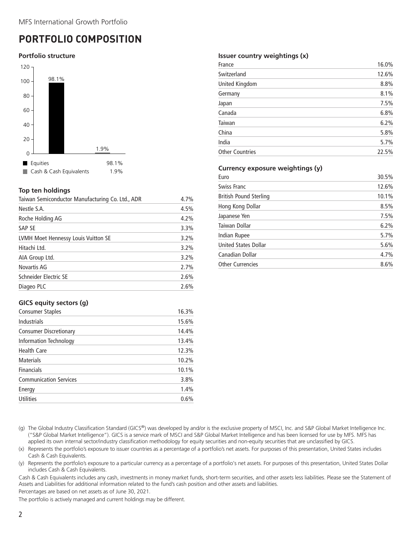# <span id="page-3-0"></span>**PORTFOLIO COMPOSITION**

### **Portfolio structure**



### **Top ten holdings**

| Taiwan Semiconductor Manufacturing Co. Ltd., ADR | 4.7% |
|--------------------------------------------------|------|
| Nestle S.A.                                      | 4.5% |
| Roche Holding AG                                 | 4.2% |
| SAP SE                                           | 3.3% |
| LVMH Moet Hennessy Louis Vuitton SE              | 3.2% |
| Hitachi Ltd.                                     | 3.2% |
| AIA Group Ltd.                                   | 3.2% |
| Novartis AG                                      | 2.7% |
| Schneider Electric SE                            | 2.6% |
| Diageo PLC                                       | 2.6% |

# **GICS equity sectors (g)**

| Consumer Staples              | 16.3% |
|-------------------------------|-------|
| <b>Industrials</b>            | 15.6% |
| <b>Consumer Discretionary</b> | 14.4% |
| <b>Information Technology</b> | 13.4% |
| <b>Health Care</b>            | 12.3% |
| <b>Materials</b>              | 10.2% |
| <b>Financials</b>             | 10.1% |
| <b>Communication Services</b> | 3.8%  |
| Energy                        | 1.4%  |
| <b>Utilities</b>              | 0.6%  |

### **Issuer country weightings (x)**

| France                 | 16.0% |
|------------------------|-------|
| Switzerland            | 12.6% |
| United Kingdom         | 8.8%  |
| Germany                | 8.1%  |
| Japan                  | 7.5%  |
| Canada                 | 6.8%  |
| Taiwan                 | 6.2%  |
| China                  | 5.8%  |
| India                  | 5.7%  |
| <b>Other Countries</b> | 22.5% |

### **Currency exposure weightings (y)**

| Euro                        | 30.5% |
|-----------------------------|-------|
| <b>Swiss Franc</b>          | 12.6% |
| British Pound Sterling      | 10.1% |
| Hong Kong Dollar            | 8.5%  |
| Japanese Yen                | 7.5%  |
| Taiwan Dollar               | 6.2%  |
| Indian Rupee                | 5.7%  |
| <b>United States Dollar</b> | 5.6%  |
| Canadian Dollar             | 4.7%  |
| <b>Other Currencies</b>     | 8.6%  |

(g) The Global Industry Classification Standard (GICS®) was developed by and/or is the exclusive property of MSCI, Inc. and S&P Global Market Intelligence Inc. ("S&P Global Market Intelligence"). GICS is a service mark of MSCI and S&P Global Market Intelligence and has been licensed for use by MFS. MFS has applied its own internal sector/industry classification methodology for equity securities and non-equity securities that are unclassified by GICS.

(x) Represents the portfolio's exposure to issuer countries as a percentage of a portfolio's net assets. For purposes of this presentation, United States includes Cash & Cash Equivalents.

(y) Represents the portfolio's exposure to a particular currency as a percentage of a portfolio's net assets. For purposes of this presentation, United States Dollar includes Cash & Cash Equivalents.

Cash & Cash Equivalents includes any cash, investments in money market funds, short-term securities, and other assets less liabilities. Please see the Statement of Assets and Liabilities for additional information related to the fund's cash position and other assets and liabilities.

Percentages are based on net assets as of June 30, 2021.

The portfolio is actively managed and current holdings may be different.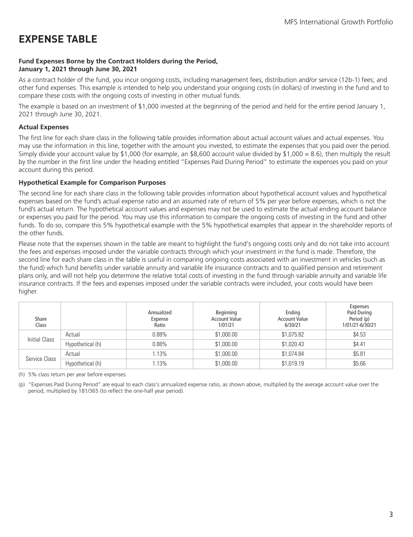# <span id="page-4-0"></span>**EXPENSE TABLE**

### **Fund Expenses Borne by the Contract Holders during the Period, January 1, 2021 through June 30, 2021**

As a contract holder of the fund, you incur ongoing costs, including management fees; distribution and/or service (12b-1) fees; and other fund expenses. This example is intended to help you understand your ongoing costs (in dollars) of investing in the fund and to compare these costs with the ongoing costs of investing in other mutual funds.

The example is based on an investment of \$1,000 invested at the beginning of the period and held for the entire period January 1, 2021 through June 30, 2021.

# **Actual Expenses**

The first line for each share class in the following table provides information about actual account values and actual expenses. You may use the information in this line, together with the amount you invested, to estimate the expenses that you paid over the period. Simply divide your account value by \$1,000 (for example, an \$8,600 account value divided by \$1,000 = 8.6), then multiply the result by the number in the first line under the heading entitled "Expenses Paid During Period" to estimate the expenses you paid on your account during this period.

### **Hypothetical Example for Comparison Purposes**

The second line for each share class in the following table provides information about hypothetical account values and hypothetical expenses based on the fund's actual expense ratio and an assumed rate of return of 5% per year before expenses, which is not the fund's actual return. The hypothetical account values and expenses may not be used to estimate the actual ending account balance or expenses you paid for the period. You may use this information to compare the ongoing costs of investing in the fund and other funds. To do so, compare this 5% hypothetical example with the 5% hypothetical examples that appear in the shareholder reports of the other funds.

Please note that the expenses shown in the table are meant to highlight the fund's ongoing costs only and do not take into account the fees and expenses imposed under the variable contracts through which your investment in the fund is made. Therefore, the second line for each share class in the table is useful in comparing ongoing costs associated with an investment in vehicles (such as the fund) which fund benefits under variable annuity and variable life insurance contracts and to qualified pension and retirement plans only, and will not help you determine the relative total costs of investing in the fund through variable annuity and variable life insurance contracts. If the fees and expenses imposed under the variable contracts were included, your costs would have been higher.

| Share<br>Class |                  | Annualized<br>Expense<br>Ratio | Beginning<br><b>Account Value</b><br>1/01/21 | Ending<br><b>Account Value</b><br>6/30/21 | Expenses<br>Paid During<br>Period (p)<br>1/01/21-6/30/21 |
|----------------|------------------|--------------------------------|----------------------------------------------|-------------------------------------------|----------------------------------------------------------|
| Initial Class  | Actual           | $0.88\%$                       | \$1,000.00                                   | \$1,075.82                                | \$4.53                                                   |
|                | Hypothetical (h) | $0.88\%$                       | \$1,000.00                                   | \$1,020.43                                | \$4.41                                                   |
| Service Class  | Actual           | 1.13%                          | \$1,000.00                                   | \$1,074.84                                | \$5.81                                                   |
|                | Hypothetical (h) | 1.13%                          | \$1,000.00                                   | \$1,019.19                                | \$5.66                                                   |

(h) 5% class return per year before expenses.

(p) "Expenses Paid During Period" are equal to each class's annualized expense ratio, as shown above, multiplied by the average account value over the period, multiplied by 181/365 (to reflect the one-half year period).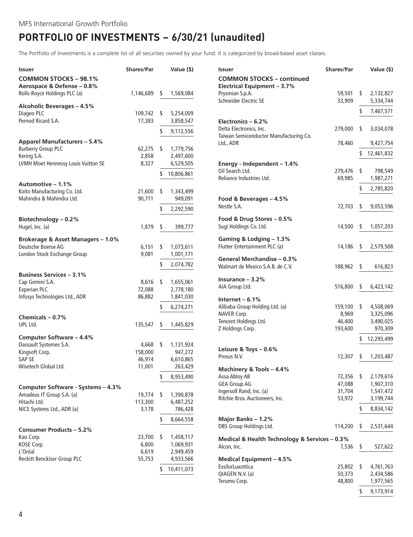# <span id="page-5-0"></span>**PORTFOLIO OF INVESTMENTS − 6/30/21 (unaudited)**

The Portfolio of Investments is a complete list of all securities owned by your fund. It is categorized by broad-based asset classes.

| <b>Issuer</b>                                              | <b>Shares/Par</b> |     | Value (\$) | <b>Issuer</b>                                                   | <b>Shares/Par</b> |    | Value (\$)             |
|------------------------------------------------------------|-------------------|-----|------------|-----------------------------------------------------------------|-------------------|----|------------------------|
| <b>COMMON STOCKS - 98.1%</b><br>Aerospace & Defense - 0.8% |                   |     |            | <b>COMMON STOCKS - continued</b><br>Electrical Equipment - 3.7% |                   |    |                        |
| Rolls-Royce Holdings PLC (a)                               | 1,146,689         | -S  | 1,569,084  | Prysmian S.p.A.<br>Schneider Electric SE                        | 59,501<br>33,909  | s. | 2,132,827<br>5,334,744 |
| <b>Alcoholic Beverages - 4.5%</b>                          |                   |     |            |                                                                 |                   |    |                        |
| Diageo PLC                                                 | 109,742           | -S  | 5,254,009  |                                                                 |                   | \$ | 7,467,571              |
| Pernod Ricard S.A.                                         | 17,383            |     | 3,858,547  | Electronics $-6.2%$                                             |                   |    |                        |
|                                                            |                   | \$  | 9,112,556  | Delta Electronics, Inc.                                         | 279,000           | S  | 3,034,078              |
| <b>Apparel Manufacturers - 5.4%</b>                        |                   |     |            | Taiwan Semiconductor Manufacturing Co.<br>Ltd., ADR             | 78,460            |    | 9,427,754              |
| <b>Burberry Group PLC</b>                                  | 62,275            | -\$ | 1,779,756  |                                                                 |                   |    |                        |
| Kering S.A.                                                | 2,858             |     | 2,497,600  |                                                                 |                   |    | 12,461,832             |
| LVMH Moet Hennessy Louis Vuitton SE                        | 8,327             |     | 6,529,505  | Energy - Independent - 1.4%                                     |                   |    |                        |
|                                                            |                   | \$  | 10,806,861 | Oil Search Ltd.                                                 | 279,476           | \$ | 798,549                |
| Automotive - 1.1%                                          |                   |     |            | Reliance Industries Ltd.                                        | 69,985            |    | 1,987,271              |
| Koito Manufacturing Co. Ltd.                               | 21,600            | \$  | 1,343,499  |                                                                 |                   | \$ | 2,785,820              |
| Mahindra & Mahindra Ltd.                                   | 90,711            |     | 949,091    | Food & Beverages - 4.5%                                         |                   |    |                        |
|                                                            |                   |     |            | Nestle S.A.                                                     | 72,703            | \$ | 9,053,596              |
|                                                            |                   | \$  | 2,292,590  |                                                                 |                   |    |                        |
| Biotechnology - 0.2%                                       |                   |     |            | Food & Drug Stores - 0.5%                                       |                   |    |                        |
| Hugel, Inc. (a)                                            | 1,879             | \$  | 399,777    | Sugi Holdings Co. Ltd.                                          | 14,500            | S  | 1,057,203              |
| Brokerage & Asset Managers - 1.0%                          |                   |     |            | Gaming & Lodging - 1.3%                                         |                   |    |                        |
| Deutsche Boerse AG                                         | 6,151             | \$  | 1,073,611  | Flutter Entertainment PLC (a)                                   | 14,186            | S  | 2,579,508              |
| London Stock Exchange Group                                | 9,081             |     | 1,001,171  | General Merchandise - 0.3%                                      |                   |    |                        |
|                                                            |                   | \$  | 2,074,782  | Walmart de Mexico S.A.B. de C.V.                                | 188,962           | \$ | 616,823                |
| <b>Business Services - 3.1%</b>                            |                   |     |            |                                                                 |                   |    |                        |
| Cap Gemini S.A.                                            | 8,616             | S,  | 1,655,061  | Insurance $-3.2%$                                               |                   |    |                        |
| <b>Experian PLC</b>                                        | 72,088            |     | 2,778,180  | AIA Group Ltd.                                                  | 516,800           | S  | 6,423,142              |
| Infosys Technologies Ltd., ADR                             | 86,882            |     | 1,841,030  | Internet $-6.1%$                                                |                   |    |                        |
|                                                            |                   | \$  | 6,274,271  | Alibaba Group Holding Ltd. (a)                                  | 159,100           | \$ | 4,508,069              |
|                                                            |                   |     |            | NAVER Corp.                                                     | 8,969             |    | 3,325,096              |
| Chemicals - 0.7%                                           |                   |     |            | Tencent Holdings Ltd.                                           | 46,400            |    | 3,490,025              |
| UPL Ltd.                                                   | 135,547           | S   | 1,445,829  | Z Holdings Corp.                                                | 193,600           |    | 970,309                |
| Computer Software - 4.4%                                   |                   |     |            |                                                                 |                   | S  | 12,293,499             |
| Dassault Systemes S.A.                                     | 4,668             | -S  | 1,131,924  |                                                                 |                   |    |                        |
| Kingsoft Corp.                                             | 158,000           |     | 947,272    | Leisure & Toys - 0.6%<br>Prosus N.V.                            |                   | \$ | 1,203,487              |
| SAP SE                                                     | 46,914            |     | 6,610,865  |                                                                 | 12,307            |    |                        |
| Wisetech Global Ltd.                                       | 11,001            |     | 263,429    | Machinery & Tools - 4.4%                                        |                   |    |                        |
|                                                            |                   | \$  | 8,953,490  | Assa Abloy AB                                                   | 72,356            | \$ | 2,179,616              |
| Computer Software - Systems - 4.3%                         |                   |     |            | <b>GEA Group AG</b>                                             | 47,088            |    | 1,907,310              |
| Amadeus IT Group S.A. (a)                                  | 19,774 \$         |     | 1,390,878  | Ingersoll Rand, Inc. (a)                                        | 31,704            |    | 1,547,472              |
| Hitachi Ltd.                                               | 113,300           |     | 6,487,252  | Ritchie Bros. Auctioneers, Inc.                                 | 53,972            |    | 3,199,744              |
| NICE Systems Ltd., ADR (a)                                 | 3,178             |     | 786,428    |                                                                 |                   | \$ | 8,834,142              |
|                                                            |                   | \$  | 8,664,558  | Major Banks - 1.2%                                              |                   |    |                        |
| <b>Consumer Products - 5.2%</b>                            |                   |     |            | DBS Group Holdings Ltd.                                         | 114,200           | S  | 2,531,644              |
| Kao Corp.                                                  | 23,700 \$         |     | 1,458,117  |                                                                 |                   |    |                        |
| KOSE Corp.                                                 | 6,800             |     | 1,069,931  | Medical & Health Technology & Services - 0.3%<br>Alcon, Inc.    | 7,536             | \$ | 527,622                |
| L'Oréal                                                    | 6,619             |     | 2,949,459  |                                                                 |                   |    |                        |
| Reckitt Benckiser Group PLC                                | 55,753            |     | 4,933,566  | <b>Medical Equipment - 4.5%</b>                                 |                   |    |                        |
|                                                            |                   | \$  | 10,411,073 | EssilorLuxottica                                                | $25,802$ \$       |    | 4,761,763              |
|                                                            |                   |     |            | QIAGEN N.V. (a)                                                 | 50,373            |    | 2,434,586              |
|                                                            |                   |     |            | Terumo Corp.                                                    | 48,800            |    | 1,977,565              |

\$ 9,173,914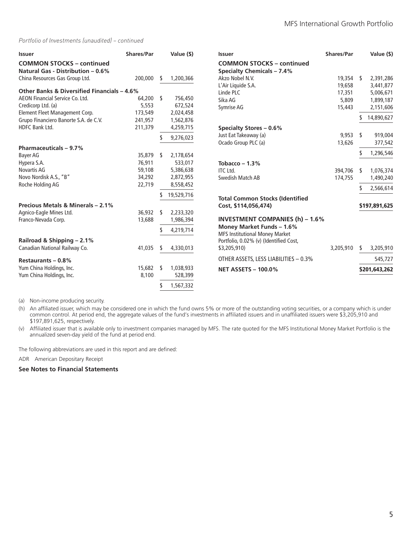#### *Portfolio of Investments (unaudited) – continued*

| <b>Issuer</b>                               | <b>Shares/Par</b> |      | Value (\$) | <b>Issuer</b>                          | Shares/Par  |    | Value (\$)    |
|---------------------------------------------|-------------------|------|------------|----------------------------------------|-------------|----|---------------|
| <b>COMMON STOCKS - continued</b>            |                   |      |            | <b>COMMON STOCKS - continued</b>       |             |    |               |
| Natural Gas - Distribution - 0.6%           |                   |      |            | <b>Specialty Chemicals - 7.4%</b>      |             |    |               |
| China Resources Gas Group Ltd.              | 200,000           | -S   | 1,200,366  | Akzo Nobel N.V.                        | $19,354$ \$ |    | 2,391,286     |
|                                             |                   |      |            | L'Air Liquide S.A.                     | 19,658      |    | 3,441,877     |
| Other Banks & Diversified Financials - 4.6% |                   |      |            | Linde PLC                              | 17,351      |    | 5,006,671     |
| AEON Financial Service Co. Ltd.             | 64,200 \$         |      | 756,450    | Sika AG                                | 5,809       |    | 1,899,187     |
| Credicorp Ltd. (a)                          | 5,553             |      | 672,524    | Symrise AG                             | 15,443      |    | 2,151,606     |
| Element Fleet Management Corp.              | 173,549           |      | 2,024,458  |                                        |             |    | 14,890,627    |
| Grupo Financiero Banorte S.A. de C.V.       | 241,957           |      | 1,562,876  |                                        |             |    |               |
| HDFC Bank Ltd.                              | 211,379           |      | 4,259,715  | Specialty Stores - 0.6%                |             |    |               |
|                                             |                   |      | 9,276,023  | Just Eat Takeaway (a)                  | 9.953       | s. | 919,004       |
|                                             |                   |      |            | Ocado Group PLC (a)                    | 13,626      |    | 377,542       |
| Pharmaceuticals - 9.7%                      |                   |      |            |                                        |             |    | 1,296,546     |
| Bayer AG                                    | 35,879 \$         |      | 2,178,654  |                                        |             |    |               |
| Hypera S.A.                                 | 76,911            |      | 533,017    | Tobacco – $1.3\%$                      |             |    |               |
| Novartis AG                                 | 59,108            |      | 5,386,638  | <b>ITC</b> Ltd.                        | 394,706     | S  | 1,076,374     |
| Novo Nordisk A.S., "B"                      | 34,292            |      | 2,872,955  | Swedish Match AB                       | 174,755     |    | 1,490,240     |
| Roche Holding AG                            | 22,719            |      | 8,558,452  |                                        |             |    | 2,566,614     |
|                                             |                   |      | 19,529,716 | <b>Total Common Stocks (Identified</b> |             |    |               |
| Precious Metals & Minerals - 2.1%           |                   |      |            | Cost, \$114,056,474)                   |             |    | \$197,891,625 |
| Agnico-Eagle Mines Ltd.                     | 36,932            | - \$ | 2,233,320  |                                        |             |    |               |
| Franco-Nevada Corp.                         | 13,688            |      | 1,986,394  | <b>INVESTMENT COMPANIES (h) - 1.6%</b> |             |    |               |
|                                             |                   |      |            | Money Market Funds - 1.6%              |             |    |               |
|                                             |                   | S    | 4,219,714  | <b>MFS Institutional Money Market</b>  |             |    |               |
| Railroad & Shipping - 2.1%                  |                   |      |            | Portfolio, 0.02% (v) (Identified Cost, |             |    |               |
| Canadian National Railway Co.               | 41,035            | S    | 4,330,013  | \$3,205,910)                           | 3,205,910   | S  | 3,205,910     |
|                                             |                   |      |            |                                        |             |    |               |
| Restaurants $-0.8\%$                        |                   |      |            | OTHER ASSETS, LESS LIABILITIES - 0.3%  |             |    | 545,727       |
| Yum China Holdings, Inc.                    | 15,682            | - \$ | 1,038,933  | <b>NET ASSETS - 100.0%</b>             |             |    | \$201,643,262 |
| Yum China Holdings, Inc.                    | 8,100             |      | 528,399    |                                        |             |    |               |
|                                             |                   | \$   | 1,567,332  |                                        |             |    |               |

(a) Non-income producing security.

(h) An affiliated issuer, which may be considered one in which the fund owns 5% or more of the outstanding voting securities, or a company which is under common control. At period end, the aggregate values of the fund's investments in affiliated issuers and in unaffiliated issuers were \$3,205,910 and \$197,891,625, respectively.

(v) Affiliated issuer that is available only to investment companies managed by MFS. The rate quoted for the MFS Institutional Money Market Portfolio is the annualized seven-day yield of the fund at period end.

The following abbreviations are used in this report and are defined:

ADR American Depositary Receipt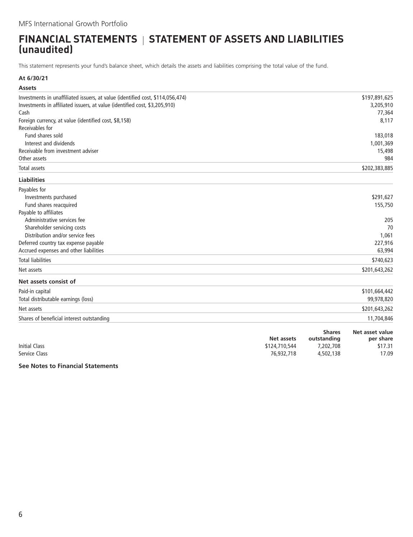# <span id="page-7-0"></span>**FINANCIAL STATEMENTS | STATEMENT OF ASSETS AND LIABILITIES (unaudited)**

This statement represents your fund's balance sheet, which details the assets and liabilities comprising the total value of the fund.

### **At 6/30/21**

| <b>Assets</b>                                                                  |               |               |                 |
|--------------------------------------------------------------------------------|---------------|---------------|-----------------|
| Investments in unaffiliated issuers, at value (identified cost, \$114,056,474) |               |               | \$197,891,625   |
| Investments in affiliated issuers, at value (identified cost, \$3,205,910)     |               |               | 3,205,910       |
| Cash                                                                           |               |               | 77,364          |
| Foreign currency, at value (identified cost, \$8,158)                          |               |               | 8,117           |
| Receivables for                                                                |               |               |                 |
| Fund shares sold                                                               |               |               | 183,018         |
| Interest and dividends                                                         |               |               | 1,001,369       |
| Receivable from investment adviser                                             |               |               | 15,498          |
| Other assets                                                                   |               |               | 984             |
| <b>Total assets</b>                                                            |               |               | \$202,383,885   |
| <b>Liabilities</b>                                                             |               |               |                 |
| Payables for                                                                   |               |               |                 |
| Investments purchased                                                          |               |               | \$291,627       |
| Fund shares reacquired                                                         |               |               | 155,750         |
| Payable to affiliates                                                          |               |               |                 |
| Administrative services fee                                                    |               |               | 205             |
| Shareholder servicing costs                                                    |               |               | 70              |
| Distribution and/or service fees                                               |               |               | 1,061           |
| Deferred country tax expense payable                                           |               |               | 227,916         |
| Accrued expenses and other liabilities                                         |               |               | 63,994          |
| <b>Total liabilities</b>                                                       |               |               | \$740,623       |
| Net assets                                                                     |               |               | \$201,643,262   |
| Net assets consist of                                                          |               |               |                 |
| Paid-in capital                                                                |               |               | \$101,664,442   |
| Total distributable earnings (loss)                                            |               |               | 99,978,820      |
| Net assets                                                                     |               |               | \$201,643,262   |
| Shares of beneficial interest outstanding                                      |               |               | 11,704,846      |
|                                                                                |               | <b>Shares</b> | Net asset value |
|                                                                                | Net assets    | outstanding   | per share       |
| <b>Initial Class</b>                                                           | \$124,710,544 | 7,202,708     | \$17.31         |
| <b>Service Class</b>                                                           | 76,932,718    | 4,502,138     | 17.09           |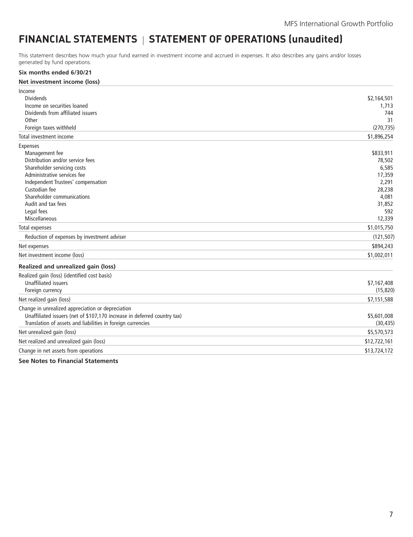# <span id="page-8-0"></span>FINANCIAL STATEMENTS | STATEMENT OF OPERATIONS (unaudited)

This statement describes how much your fund earned in investment income and accrued in expenses. It also describes any gains and/or losses generated by fund operations.

#### **Six months ended 6/30/21**

| Net investment income (loss) |  |  |
|------------------------------|--|--|
|------------------------------|--|--|

| Income                                                                   |              |
|--------------------------------------------------------------------------|--------------|
| <b>Dividends</b>                                                         | \$2,164,501  |
| Income on securities loaned                                              | 1,713        |
| Dividends from affiliated issuers                                        | 744          |
| Other                                                                    | 31           |
| Foreign taxes withheld                                                   | (270, 735)   |
| Total investment income                                                  | \$1,896,254  |
| <b>Expenses</b>                                                          |              |
| Management fee                                                           | \$833,911    |
| Distribution and/or service fees                                         | 78,502       |
| Shareholder servicing costs                                              | 6,585        |
| Administrative services fee                                              | 17,359       |
| Independent Trustees' compensation                                       | 2,291        |
| Custodian fee                                                            | 28,238       |
| Shareholder communications                                               | 4,081        |
| Audit and tax fees                                                       | 31,852       |
| Legal fees                                                               | 592          |
| Miscellaneous                                                            | 12,339       |
| Total expenses                                                           | \$1,015,750  |
| Reduction of expenses by investment adviser                              | (121, 507)   |
| Net expenses                                                             | \$894,243    |
| Net investment income (loss)                                             | \$1,002,011  |
| Realized and unrealized gain (loss)                                      |              |
| Realized gain (loss) (identified cost basis)                             |              |
| <b>Unaffiliated issuers</b>                                              | \$7,167,408  |
| Foreign currency                                                         | (15, 820)    |
| Net realized gain (loss)                                                 | \$7,151,588  |
| Change in unrealized appreciation or depreciation                        |              |
| Unaffiliated issuers (net of \$107,170 increase in deferred country tax) | \$5,601,008  |
| Translation of assets and liabilities in foreign currencies              | (30, 435)    |
| Net unrealized gain (loss)                                               | \$5,570,573  |
| Net realized and unrealized gain (loss)                                  | \$12,722,161 |
| Change in net assets from operations                                     | \$13,724,172 |
|                                                                          |              |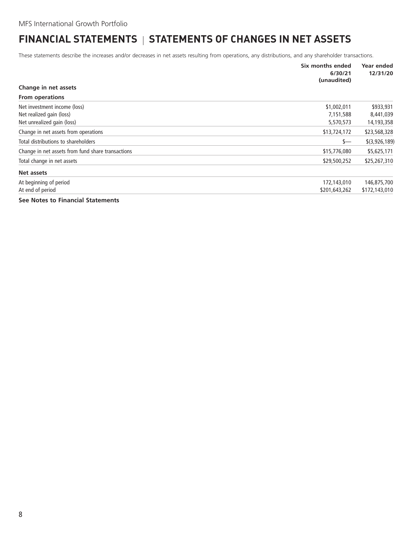# <span id="page-9-0"></span>**FINANCIAL STATEMENTS | STATEMENTS OF CHANGES IN NET ASSETS**

These statements describe the increases and/or decreases in net assets resulting from operations, any distributions, and any shareholder transactions.

|                                                   | Six months ended<br>6/30/21<br>(unaudited) | Year ended<br>12/31/20 |
|---------------------------------------------------|--------------------------------------------|------------------------|
| Change in net assets                              |                                            |                        |
| <b>From operations</b>                            |                                            |                        |
| Net investment income (loss)                      | \$1,002,011                                | \$933,931              |
| Net realized gain (loss)                          | 7,151,588                                  | 8,441,039              |
| Net unrealized gain (loss)                        | 5,570,573                                  | 14,193,358             |
| Change in net assets from operations              | \$13,724,172                               | \$23,568,328           |
| Total distributions to shareholders               | $s-$                                       | \$(3,926,189)          |
| Change in net assets from fund share transactions | \$15,776,080                               | \$5,625,171            |
| Total change in net assets                        | \$29,500,252                               | \$25,267,310           |
| Net assets                                        |                                            |                        |
| At beginning of period                            | 172,143,010                                | 146,875,700            |
| At end of period                                  | \$201,643,262                              | \$172,143,010          |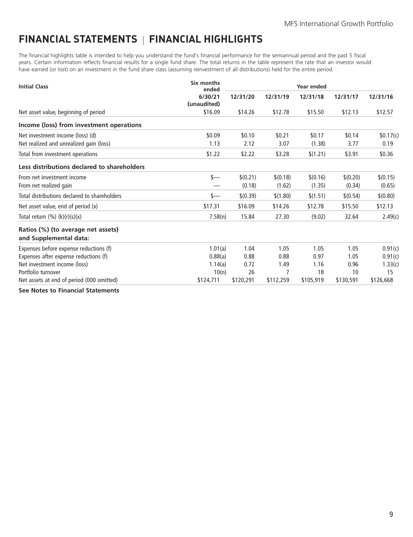# <span id="page-10-0"></span>**FINANCIAL STATEMENTS FINANCIAL HIGHLIGHTS**

The financial highlights table is intended to help you understand the fund's financial performance for the semiannual period and the past 5 fiscal years. Certain information reflects financial results for a single fund share. The total returns in the table represent the rate that an investor would have earned (or lost) on an investment in the fund share class (assuming reinvestment of all distributions) held for the entire period.

| <b>Initial Class</b>                                         | Six months<br>ended    | Year ended |           |           |           |           |
|--------------------------------------------------------------|------------------------|------------|-----------|-----------|-----------|-----------|
|                                                              | 6/30/21<br>(unaudited) | 12/31/20   | 12/31/19  | 12/31/18  | 12/31/17  | 12/31/16  |
| Net asset value, beginning of period                         | \$16.09                | \$14.26    | \$12.78   | \$15.50   | \$12.13   | \$12.57   |
| Income (loss) from investment operations                     |                        |            |           |           |           |           |
| Net investment income (loss) (d)                             | \$0.09                 | \$0.10     | \$0.21    | \$0.17    | \$0.14    | \$0.17(c) |
| Net realized and unrealized gain (loss)                      | 1.13                   | 2.12       | 3.07      | (1.38)    | 3.77      | 0.19      |
| Total from investment operations                             | \$1.22                 | \$2.22     | \$3.28    | \$(1.21)  | \$3.91    | \$0.36    |
| Less distributions declared to shareholders                  |                        |            |           |           |           |           |
| From net investment income                                   | \$—                    | \$(0.21)   | \$(0.18)  | \$(0.16)  | \$(0.20)  | \$(0.15)  |
| From net realized gain                                       |                        | (0.18)     | (1.62)    | (1.35)    | (0.34)    | (0.65)    |
| Total distributions declared to shareholders                 | s—                     | \$(0.39)   | \$(1.80)  | \$(1.51)  | \$(0.54)  | \$(0.80)  |
| Net asset value, end of period (x)                           | \$17.31                | \$16.09    | \$14.26   | \$12.78   | \$15.50   | \$12.13   |
| Total return $(\%) (k)(r)(s)(x)$                             | 7.58(n)                | 15.84      | 27.30     | (9.02)    | 32.64     | 2.49(c)   |
| Ratios (%) (to average net assets)<br>and Supplemental data: |                        |            |           |           |           |           |
| Expenses before expense reductions (f)                       | 1.01(a)                | 1.04       | 1.05      | 1.05      | 1.05      | 0.91(c)   |
| Expenses after expense reductions (f)                        | 0.88(a)                | 0.88       | 0.88      | 0.97      | 1.05      | 0.91(c)   |
| Net investment income (loss)                                 | 1.14(a)                | 0.72       | 1.49      | 1.16      | 0.96      | 1.33(c)   |
| Portfolio turnover                                           | 10(n)                  | 26         | 7         | 18        | 10        | 15        |
| Net assets at end of period (000 omitted)                    | \$124,711              | \$120,291  | \$112,259 | \$105,919 | \$130,591 | \$126,668 |
| The contractor of the contract of the components.            |                        |            |           |           |           |           |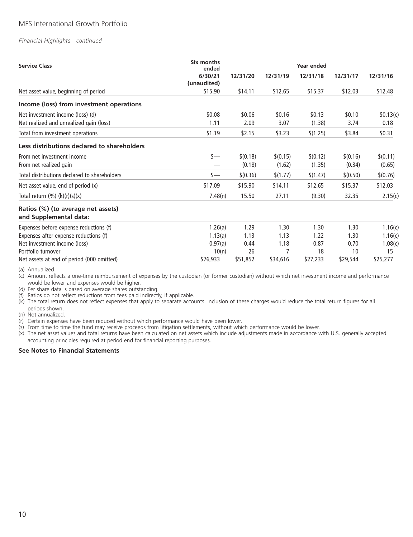# MFS International Growth Portfolio

#### *Financial Highlights - continued*

| <b>Service Class</b>                                         | Six months<br>ended    | <b>Year ended</b> |          |          |          |           |
|--------------------------------------------------------------|------------------------|-------------------|----------|----------|----------|-----------|
|                                                              | 6/30/21<br>(unaudited) | 12/31/20          | 12/31/19 | 12/31/18 | 12/31/17 | 12/31/16  |
| Net asset value, beginning of period                         | \$15.90                | \$14.11           | \$12.65  | \$15.37  | \$12.03  | \$12.48   |
| Income (loss) from investment operations                     |                        |                   |          |          |          |           |
| Net investment income (loss) (d)                             | \$0.08                 | \$0.06            | \$0.16   | \$0.13   | \$0.10   | \$0.13(c) |
| Net realized and unrealized gain (loss)                      | 1.11                   | 2.09              | 3.07     | (1.38)   | 3.74     | 0.18      |
| Total from investment operations                             | \$1.19                 | \$2.15            | \$3.23   | \$(1.25) | \$3.84   | \$0.31    |
| Less distributions declared to shareholders                  |                        |                   |          |          |          |           |
| From net investment income                                   | $s-$                   | \$(0.18)          | \$(0.15) | \$(0.12) | \$(0.16) | \$(0.11)  |
| From net realized gain                                       |                        | (0.18)            | (1.62)   | (1.35)   | (0.34)   | (0.65)    |
| Total distributions declared to shareholders                 | s—                     | \$(0.36)          | \$(1.77) | \$(1.47) | \$(0.50) | \$(0.76)  |
| Net asset value, end of period (x)                           | \$17.09                | \$15.90           | \$14.11  | \$12.65  | \$15.37  | \$12.03   |
| Total return $(\%) (k)(r)(s)(x)$                             | 7.48(n)                | 15.50             | 27.11    | (9.30)   | 32.35    | 2.15(c)   |
| Ratios (%) (to average net assets)<br>and Supplemental data: |                        |                   |          |          |          |           |
| Expenses before expense reductions (f)                       | 1.26(a)                | 1.29              | 1.30     | 1.30     | 1.30     | 1.16(c)   |
| Expenses after expense reductions (f)                        | 1.13(a)                | 1.13              | 1.13     | 1.22     | 1.30     | 1.16(c)   |
| Net investment income (loss)                                 | 0.97(a)                | 0.44              | 1.18     | 0.87     | 0.70     | 1.08(c)   |
| Portfolio turnover                                           | 10(n)                  | 26                |          | 18       | 10       | 15        |
| Net assets at end of period (000 omitted)                    | \$76,933               | \$51,852          | \$34,616 | \$27,233 | \$29,544 | \$25,277  |

(a) Annualized.

(c) Amount reflects a one-time reimbursement of expenses by the custodian (or former custodian) without which net investment income and performance would be lower and expenses would be higher.

(d) Per share data is based on average shares outstanding.

(f) Ratios do not reflect reductions from fees paid indirectly, if applicable.

(k) The total return does not reflect expenses that apply to separate accounts. Inclusion of these charges would reduce the total return figures for all periods shown.

(n) Not annualized.

(r) Certain expenses have been reduced without which performance would have been lower.

(s) From time to time the fund may receive proceeds from litigation settlements, without which performance would be lower.

(x) The net asset values and total returns have been calculated on net assets which include adjustments made in accordance with U.S. generally accepted accounting principles required at period end for financial reporting purposes.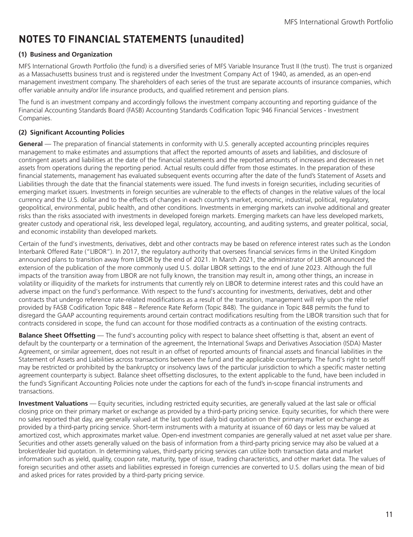# <span id="page-12-0"></span>**NOTES TO FINANCIAL STATEMENTS (unaudited)**

### **(1) Business and Organization**

MFS International Growth Portfolio (the fund) is a diversified series of MFS Variable Insurance Trust II (the trust). The trust is organized as a Massachusetts business trust and is registered under the Investment Company Act of 1940, as amended, as an open-end management investment company. The shareholders of each series of the trust are separate accounts of insurance companies, which offer variable annuity and/or life insurance products, and qualified retirement and pension plans.

The fund is an investment company and accordingly follows the investment company accounting and reporting guidance of the Financial Accounting Standards Board (FASB) Accounting Standards Codification Topic 946 Financial Services - Investment Companies.

# **(2) Significant Accounting Policies**

**General** — The preparation of financial statements in conformity with U.S. generally accepted accounting principles requires management to make estimates and assumptions that affect the reported amounts of assets and liabilities, and disclosure of contingent assets and liabilities at the date of the financial statements and the reported amounts of increases and decreases in net assets from operations during the reporting period. Actual results could differ from those estimates. In the preparation of these financial statements, management has evaluated subsequent events occurring after the date of the fund's Statement of Assets and Liabilities through the date that the financial statements were issued. The fund invests in foreign securities, including securities of emerging market issuers. Investments in foreign securities are vulnerable to the effects of changes in the relative values of the local currency and the U.S. dollar and to the effects of changes in each country's market, economic, industrial, political, regulatory, geopolitical, environmental, public health, and other conditions. Investments in emerging markets can involve additional and greater risks than the risks associated with investments in developed foreign markets. Emerging markets can have less developed markets, greater custody and operational risk, less developed legal, regulatory, accounting, and auditing systems, and greater political, social, and economic instability than developed markets.

Certain of the fund's investments, derivatives, debt and other contracts may be based on reference interest rates such as the London Interbank Offered Rate ("LIBOR"). In 2017, the regulatory authority that oversees financial services firms in the United Kingdom announced plans to transition away from LIBOR by the end of 2021. In March 2021, the administrator of LIBOR announced the extension of the publication of the more commonly used U.S. dollar LIBOR settings to the end of June 2023. Although the full impacts of the transition away from LIBOR are not fully known, the transition may result in, among other things, an increase in volatility or illiquidity of the markets for instruments that currently rely on LIBOR to determine interest rates and this could have an adverse impact on the fund's performance. With respect to the fund's accounting for investments, derivatives, debt and other contracts that undergo reference rate-related modifications as a result of the transition, management will rely upon the relief provided by FASB Codification Topic 848 – Reference Rate Reform (Topic 848). The guidance in Topic 848 permits the fund to disregard the GAAP accounting requirements around certain contract modifications resulting from the LIBOR transition such that for contracts considered in scope, the fund can account for those modified contracts as a continuation of the existing contracts.

**Balance Sheet Offsetting** — The fund's accounting policy with respect to balance sheet offsetting is that, absent an event of default by the counterparty or a termination of the agreement, the International Swaps and Derivatives Association (ISDA) Master Agreement, or similar agreement, does not result in an offset of reported amounts of financial assets and financial liabilities in the Statement of Assets and Liabilities across transactions between the fund and the applicable counterparty. The fund's right to setoff may be restricted or prohibited by the bankruptcy or insolvency laws of the particular jurisdiction to which a specific master netting agreement counterparty is subject. Balance sheet offsetting disclosures, to the extent applicable to the fund, have been included in the fund's Significant Accounting Policies note under the captions for each of the fund's in-scope financial instruments and transactions.

**Investment Valuations** — Equity securities, including restricted equity securities, are generally valued at the last sale or official closing price on their primary market or exchange as provided by a third-party pricing service. Equity securities, for which there were no sales reported that day, are generally valued at the last quoted daily bid quotation on their primary market or exchange as provided by a third-party pricing service. Short-term instruments with a maturity at issuance of 60 days or less may be valued at amortized cost, which approximates market value. Open-end investment companies are generally valued at net asset value per share. Securities and other assets generally valued on the basis of information from a third-party pricing service may also be valued at a broker/dealer bid quotation. In determining values, third-party pricing services can utilize both transaction data and market information such as yield, quality, coupon rate, maturity, type of issue, trading characteristics, and other market data. The values of foreign securities and other assets and liabilities expressed in foreign currencies are converted to U.S. dollars using the mean of bid and asked prices for rates provided by a third-party pricing service.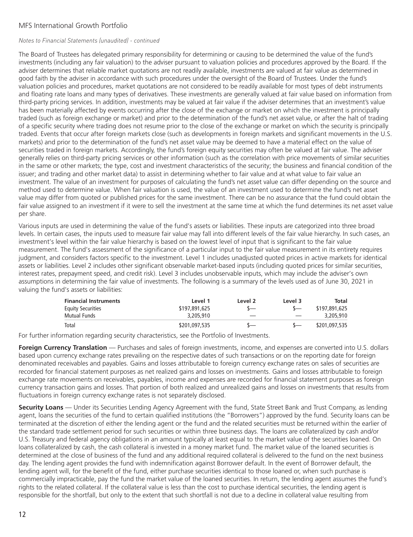# MFS International Growth Portfolio

#### *Notes to Financial Statements (unaudited) - continued*

The Board of Trustees has delegated primary responsibility for determining or causing to be determined the value of the fund's investments (including any fair valuation) to the adviser pursuant to valuation policies and procedures approved by the Board. If the adviser determines that reliable market quotations are not readily available, investments are valued at fair value as determined in good faith by the adviser in accordance with such procedures under the oversight of the Board of Trustees. Under the fund's valuation policies and procedures, market quotations are not considered to be readily available for most types of debt instruments and floating rate loans and many types of derivatives. These investments are generally valued at fair value based on information from third-party pricing services. In addition, investments may be valued at fair value if the adviser determines that an investment's value has been materially affected by events occurring after the close of the exchange or market on which the investment is principally traded (such as foreign exchange or market) and prior to the determination of the fund's net asset value, or after the halt of trading of a specific security where trading does not resume prior to the close of the exchange or market on which the security is principally traded. Events that occur after foreign markets close (such as developments in foreign markets and significant movements in the U.S. markets) and prior to the determination of the fund's net asset value may be deemed to have a material effect on the value of securities traded in foreign markets. Accordingly, the fund's foreign equity securities may often be valued at fair value. The adviser generally relies on third-party pricing services or other information (such as the correlation with price movements of similar securities in the same or other markets; the type, cost and investment characteristics of the security; the business and financial condition of the issuer; and trading and other market data) to assist in determining whether to fair value and at what value to fair value an investment. The value of an investment for purposes of calculating the fund's net asset value can differ depending on the source and method used to determine value. When fair valuation is used, the value of an investment used to determine the fund's net asset value may differ from quoted or published prices for the same investment. There can be no assurance that the fund could obtain the fair value assigned to an investment if it were to sell the investment at the same time at which the fund determines its net asset value per share.

Various inputs are used in determining the value of the fund's assets or liabilities. These inputs are categorized into three broad levels. In certain cases, the inputs used to measure fair value may fall into different levels of the fair value hierarchy. In such cases, an investment's level within the fair value hierarchy is based on the lowest level of input that is significant to the fair value measurement. The fund's assessment of the significance of a particular input to the fair value measurement in its entirety requires judgment, and considers factors specific to the investment. Level 1 includes unadjusted quoted prices in active markets for identical assets or liabilities. Level 2 includes other significant observable market-based inputs (including quoted prices for similar securities, interest rates, prepayment speed, and credit risk). Level 3 includes unobservable inputs, which may include the adviser's own assumptions in determining the fair value of investments. The following is a summary of the levels used as of June 30, 2021 in valuing the fund's assets or liabilities:

| <b>Financial Instruments</b> | Level 1       | Level 2 | Level 3 | Total         |
|------------------------------|---------------|---------|---------|---------------|
| <b>Equity Securities</b>     | \$197,891,625 |         |         | \$197,891,625 |
| Mutual Funds                 | 3,205,910     |         |         | 3,205,910     |
| Total                        | \$201,097,535 |         |         | \$201,097,535 |

For further information regarding security characteristics, see the Portfolio of Investments.

**Foreign Currency Translation** — Purchases and sales of foreign investments, income, and expenses are converted into U.S. dollars based upon currency exchange rates prevailing on the respective dates of such transactions or on the reporting date for foreign denominated receivables and payables. Gains and losses attributable to foreign currency exchange rates on sales of securities are recorded for financial statement purposes as net realized gains and losses on investments. Gains and losses attributable to foreign exchange rate movements on receivables, payables, income and expenses are recorded for financial statement purposes as foreign currency transaction gains and losses. That portion of both realized and unrealized gains and losses on investments that results from fluctuations in foreign currency exchange rates is not separately disclosed.

**Security Loans** — Under its Securities Lending Agency Agreement with the fund, State Street Bank and Trust Company, as lending agent, loans the securities of the fund to certain qualified institutions (the "Borrowers") approved by the fund. Security loans can be terminated at the discretion of either the lending agent or the fund and the related securities must be returned within the earlier of the standard trade settlement period for such securities or within three business days. The loans are collateralized by cash and/or U.S. Treasury and federal agency obligations in an amount typically at least equal to the market value of the securities loaned. On loans collateralized by cash, the cash collateral is invested in a money market fund. The market value of the loaned securities is determined at the close of business of the fund and any additional required collateral is delivered to the fund on the next business day. The lending agent provides the fund with indemnification against Borrower default. In the event of Borrower default, the lending agent will, for the benefit of the fund, either purchase securities identical to those loaned or, when such purchase is commercially impracticable, pay the fund the market value of the loaned securities. In return, the lending agent assumes the fund's rights to the related collateral. If the collateral value is less than the cost to purchase identical securities, the lending agent is responsible for the shortfall, but only to the extent that such shortfall is not due to a decline in collateral value resulting from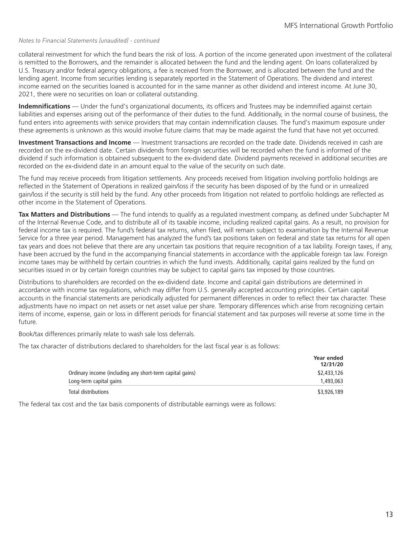#### *Notes to Financial Statements (unaudited) - continued*

collateral reinvestment for which the fund bears the risk of loss. A portion of the income generated upon investment of the collateral is remitted to the Borrowers, and the remainder is allocated between the fund and the lending agent. On loans collateralized by U.S. Treasury and/or federal agency obligations, a fee is received from the Borrower, and is allocated between the fund and the lending agent. Income from securities lending is separately reported in the Statement of Operations. The dividend and interest income earned on the securities loaned is accounted for in the same manner as other dividend and interest income. At June 30, 2021, there were no securities on loan or collateral outstanding.

**Indemnifications** — Under the fund's organizational documents, its officers and Trustees may be indemnified against certain liabilities and expenses arising out of the performance of their duties to the fund. Additionally, in the normal course of business, the fund enters into agreements with service providers that may contain indemnification clauses. The fund's maximum exposure under these agreements is unknown as this would involve future claims that may be made against the fund that have not yet occurred.

**Investment Transactions and Income** — Investment transactions are recorded on the trade date. Dividends received in cash are recorded on the ex-dividend date. Certain dividends from foreign securities will be recorded when the fund is informed of the dividend if such information is obtained subsequent to the ex-dividend date. Dividend payments received in additional securities are recorded on the ex-dividend date in an amount equal to the value of the security on such date.

The fund may receive proceeds from litigation settlements. Any proceeds received from litigation involving portfolio holdings are reflected in the Statement of Operations in realized gain/loss if the security has been disposed of by the fund or in unrealized gain/loss if the security is still held by the fund. Any other proceeds from litigation not related to portfolio holdings are reflected as other income in the Statement of Operations.

**Tax Matters and Distributions** — The fund intends to qualify as a regulated investment company, as defined under Subchapter M of the Internal Revenue Code, and to distribute all of its taxable income, including realized capital gains. As a result, no provision for federal income tax is required. The fund's federal tax returns, when filed, will remain subject to examination by the Internal Revenue Service for a three year period. Management has analyzed the fund's tax positions taken on federal and state tax returns for all open tax years and does not believe that there are any uncertain tax positions that require recognition of a tax liability. Foreign taxes, if any, have been accrued by the fund in the accompanying financial statements in accordance with the applicable foreign tax law. Foreign income taxes may be withheld by certain countries in which the fund invests. Additionally, capital gains realized by the fund on securities issued in or by certain foreign countries may be subject to capital gains tax imposed by those countries.

Distributions to shareholders are recorded on the ex-dividend date. Income and capital gain distributions are determined in accordance with income tax regulations, which may differ from U.S. generally accepted accounting principles. Certain capital accounts in the financial statements are periodically adjusted for permanent differences in order to reflect their tax character. These adjustments have no impact on net assets or net asset value per share. Temporary differences which arise from recognizing certain items of income, expense, gain or loss in different periods for financial statement and tax purposes will reverse at some time in the future.

Book/tax differences primarily relate to wash sale loss deferrals.

The tax character of distributions declared to shareholders for the last fiscal year is as follows:

| <b>Year ended</b> |
|-------------------|
| 12/31/20          |
| \$2,433,126       |
| 1,493,063         |
| \$3,926,189       |
|                   |

The federal tax cost and the tax basis components of distributable earnings were as follows: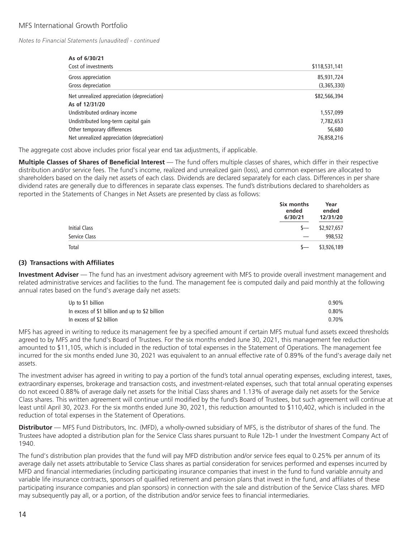*Notes to Financial Statements (unaudited) - continued*

| As of 6/30/21                              |               |
|--------------------------------------------|---------------|
| Cost of investments                        | \$118,531,141 |
| Gross appreciation                         | 85,931,724    |
| Gross depreciation                         | (3,365,330)   |
| Net unrealized appreciation (depreciation) | \$82,566,394  |
| As of 12/31/20                             |               |
| Undistributed ordinary income              | 1,557,099     |
| Undistributed long-term capital gain       | 7,782,653     |
| Other temporary differences                | 56,680        |
| Net unrealized appreciation (depreciation) | 76,858,216    |

The aggregate cost above includes prior fiscal year end tax adjustments, if applicable.

**Multiple Classes of Shares of Beneficial Interest** — The fund offers multiple classes of shares, which differ in their respective distribution and/or service fees. The fund's income, realized and unrealized gain (loss), and common expenses are allocated to shareholders based on the daily net assets of each class. Dividends are declared separately for each class. Differences in per share dividend rates are generally due to differences in separate class expenses. The fund's distributions declared to shareholders as reported in the Statements of Changes in Net Assets are presented by class as follows:

|               | Six months<br>ended<br>6/30/21 | Year<br>ended<br>12/31/20 |
|---------------|--------------------------------|---------------------------|
| Initial Class | $s-$                           | \$2,927,657               |
| Service Class |                                | 998,532                   |
| Total         | s—                             | \$3,926,189               |

#### **(3) Transactions with Affiliates**

**Investment Adviser** — The fund has an investment advisory agreement with MFS to provide overall investment management and related administrative services and facilities to the fund. The management fee is computed daily and paid monthly at the following annual rates based on the fund's average daily net assets:

| Up to \$1 billion                              | 0.90% |
|------------------------------------------------|-------|
| In excess of \$1 billion and up to \$2 billion | 0.80% |
| In excess of \$2 billion                       | 0.70% |

MFS has agreed in writing to reduce its management fee by a specified amount if certain MFS mutual fund assets exceed thresholds agreed to by MFS and the fund's Board of Trustees. For the six months ended June 30, 2021, this management fee reduction amounted to \$11,105, which is included in the reduction of total expenses in the Statement of Operations. The management fee incurred for the six months ended June 30, 2021 was equivalent to an annual effective rate of 0.89% of the fund's average daily net assets.

The investment adviser has agreed in writing to pay a portion of the fund's total annual operating expenses, excluding interest, taxes, extraordinary expenses, brokerage and transaction costs, and investment-related expenses, such that total annual operating expenses do not exceed 0.88% of average daily net assets for the Initial Class shares and 1.13% of average daily net assets for the Service Class shares. This written agreement will continue until modified by the fund's Board of Trustees, but such agreement will continue at least until April 30, 2023. For the six months ended June 30, 2021, this reduction amounted to \$110,402, which is included in the reduction of total expenses in the Statement of Operations.

**Distributor** — MFS Fund Distributors, Inc. (MFD), a wholly-owned subsidiary of MFS, is the distributor of shares of the fund. The Trustees have adopted a distribution plan for the Service Class shares pursuant to Rule 12b-1 under the Investment Company Act of 1940.

The fund's distribution plan provides that the fund will pay MFD distribution and/or service fees equal to 0.25% per annum of its average daily net assets attributable to Service Class shares as partial consideration for services performed and expenses incurred by MFD and financial intermediaries (including participating insurance companies that invest in the fund to fund variable annuity and variable life insurance contracts, sponsors of qualified retirement and pension plans that invest in the fund, and affiliates of these participating insurance companies and plan sponsors) in connection with the sale and distribution of the Service Class shares. MFD may subsequently pay all, or a portion, of the distribution and/or service fees to financial intermediaries.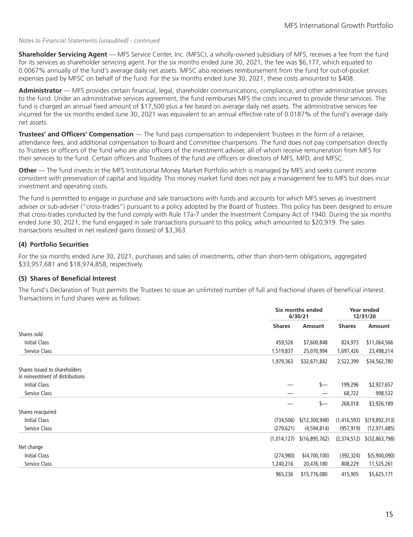#### *Notes to Financial Statements (unaudited) - continued*

**Shareholder Servicing Agent** — MFS Service Center, Inc. (MFSC), a wholly-owned subsidiary of MFS, receives a fee from the fund for its services as shareholder servicing agent. For the six months ended June 30, 2021, the fee was \$6,177, which equated to 0.0067% annually of the fund's average daily net assets. MFSC also receives reimbursement from the fund for out-of-pocket expenses paid by MFSC on behalf of the fund. For the six months ended June 30, 2021, these costs amounted to \$408.

**Administrator** — MFS provides certain financial, legal, shareholder communications, compliance, and other administrative services to the fund. Under an administrative services agreement, the fund reimburses MFS the costs incurred to provide these services. The fund is charged an annual fixed amount of \$17,500 plus a fee based on average daily net assets. The administrative services fee incurred for the six months ended June 30, 2021 was equivalent to an annual effective rate of 0.0187% of the fund's average daily net assets.

**Trustees' and Officers' Compensation** — The fund pays compensation to independent Trustees in the form of a retainer, attendance fees, and additional compensation to Board and Committee chairpersons. The fund does not pay compensation directly to Trustees or officers of the fund who are also officers of the investment adviser, all of whom receive remuneration from MFS for their services to the fund. Certain officers and Trustees of the fund are officers or directors of MFS, MFD, and MFSC.

**Other** — The fund invests in the MFS Institutional Money Market Portfolio which is managed by MFS and seeks current income consistent with preservation of capital and liquidity. This money market fund does not pay a management fee to MFS but does incur investment and operating costs.

The fund is permitted to engage in purchase and sale transactions with funds and accounts for which MFS serves as investment adviser or sub-adviser ("cross-trades") pursuant to a policy adopted by the Board of Trustees. This policy has been designed to ensure that cross-trades conducted by the fund comply with Rule 17a-7 under the Investment Company Act of 1940. During the six months ended June 30, 2021, the fund engaged in sale transactions pursuant to this policy, which amounted to \$20,919. The sales transactions resulted in net realized gains (losses) of \$3,363.

#### **(4) Portfolio Securities**

For the six months ended June 30, 2021, purchases and sales of investments, other than short-term obligations, aggregated \$33,957,681 and \$18,974,858, respectively.

#### **(5) Shares of Beneficial Interest**

The fund's Declaration of Trust permits the Trustees to issue an unlimited number of full and fractional shares of beneficial interest. Transactions in fund shares were as follows:

|                                                                   |               | Six months ended<br>6/30/21 |               | Year ended<br>12/31/20 |
|-------------------------------------------------------------------|---------------|-----------------------------|---------------|------------------------|
|                                                                   | <b>Shares</b> | Amount                      | <b>Shares</b> | Amount                 |
| Shares sold                                                       |               |                             |               |                        |
| <b>Initial Class</b>                                              | 459,526       | \$7,600,848                 | 824,973       | \$11,064,566           |
| Service Class                                                     | 1,519,837     | 25,070,994                  | 1,697,426     | 23,498,214             |
|                                                                   | 1,979,363     | \$32,671,842                | 2,522,399     | \$34,562,780           |
| Shares issued to shareholders<br>in reinvestment of distributions |               |                             |               |                        |
| <b>Initial Class</b>                                              |               | $s-$                        | 199,296       | \$2,927,657            |
| Service Class                                                     |               |                             | 68,722        | 998,532                |
|                                                                   |               | $s-$                        | 268,018       | \$3,926,189            |
| Shares reacquired                                                 |               |                             |               |                        |
| <b>Initial Class</b>                                              | (734, 506)    | \$(12,300,948)              | (1,416,593)   | \$(19,892,313)         |
| Service Class                                                     | (279, 621)    | (4,594,814)                 | (957, 919)    | (12, 971, 485)         |
|                                                                   | (1,014,127)   | \$(16,895,762)              | (2,374,512)   | $$$ (32,863,798)       |
| Net change                                                        |               |                             |               |                        |
| <b>Initial Class</b>                                              | (274,980)     | \$(4,700,100)               | (392, 324)    | \$ (5,900,090)         |
| Service Class                                                     | 1,240,216     | 20,476,180                  | 808,229       | 11,525,261             |
|                                                                   | 965,236       | \$15,776,080                | 415,905       | \$5,625,171            |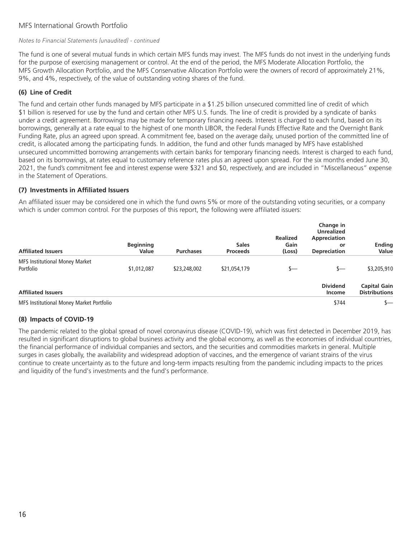# MFS International Growth Portfolio

#### *Notes to Financial Statements (unaudited) - continued*

The fund is one of several mutual funds in which certain MFS funds may invest. The MFS funds do not invest in the underlying funds for the purpose of exercising management or control. At the end of the period, the MFS Moderate Allocation Portfolio, the MFS Growth Allocation Portfolio, and the MFS Conservative Allocation Portfolio were the owners of record of approximately 21%, 9%, and 4%, respectively, of the value of outstanding voting shares of the fund.

### **(6) Line of Credit**

The fund and certain other funds managed by MFS participate in a \$1.25 billion unsecured committed line of credit of which \$1 billion is reserved for use by the fund and certain other MFS U.S. funds. The line of credit is provided by a syndicate of banks under a credit agreement. Borrowings may be made for temporary financing needs. Interest is charged to each fund, based on its borrowings, generally at a rate equal to the highest of one month LIBOR, the Federal Funds Effective Rate and the Overnight Bank Funding Rate, plus an agreed upon spread. A commitment fee, based on the average daily, unused portion of the committed line of credit, is allocated among the participating funds. In addition, the fund and other funds managed by MFS have established unsecured uncommitted borrowing arrangements with certain banks for temporary financing needs. Interest is charged to each fund, based on its borrowings, at rates equal to customary reference rates plus an agreed upon spread. For the six months ended June 30, 2021, the fund's commitment fee and interest expense were \$321 and \$0, respectively, and are included in "Miscellaneous" expense in the Statement of Operations.

#### **(7) Investments in Affiliated Issuers**

An affiliated issuer may be considered one in which the fund owns 5% or more of the outstanding voting securities, or a company which is under common control. For the purposes of this report, the following were affiliated issuers:

| <b>Affiliated Issuers</b>                          | <b>Beginning</b><br>Value | <b>Purchases</b> | <b>Sales</b><br><b>Proceeds</b> | <b>Realized</b><br>Gain<br>(Loss) | Change in<br><b>Unrealized</b><br>Appreciation<br>or<br><b>Depreciation</b> | <b>Ending</b><br>Value                      |
|----------------------------------------------------|---------------------------|------------------|---------------------------------|-----------------------------------|-----------------------------------------------------------------------------|---------------------------------------------|
| <b>MFS Institutional Money Market</b><br>Portfolio | \$1,012,087               | \$23,248,002     | \$21,054,179                    | s—                                | s—                                                                          | \$3,205,910                                 |
| <b>Affiliated Issuers</b>                          |                           |                  |                                 |                                   | <b>Dividend</b><br>Income                                                   | <b>Capital Gain</b><br><b>Distributions</b> |
| MFS Institutional Money Market Portfolio           |                           |                  |                                 |                                   | \$744                                                                       |                                             |

### **(8) Impacts of COVID-19**

The pandemic related to the global spread of novel coronavirus disease (COVID-19), which was first detected in December 2019, has resulted in significant disruptions to global business activity and the global economy, as well as the economies of individual countries, the financial performance of individual companies and sectors, and the securities and commodities markets in general. Multiple surges in cases globally, the availability and widespread adoption of vaccines, and the emergence of variant strains of the virus continue to create uncertainty as to the future and long-term impacts resulting from the pandemic including impacts to the prices and liquidity of the fund's investments and the fund's performance.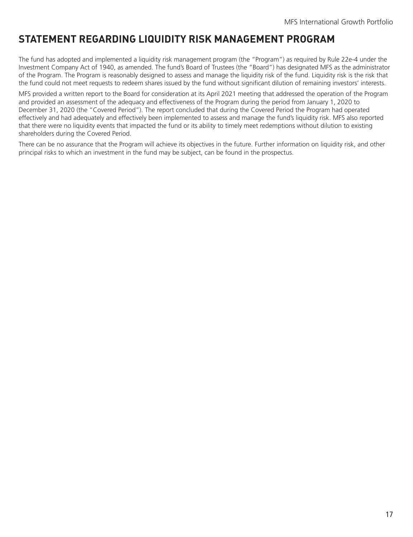# <span id="page-18-0"></span>**STATEMENT REGARDING LIQUIDITY RISK MANAGEMENT PROGRAM**

The fund has adopted and implemented a liquidity risk management program (the "Program") as required by Rule 22e-4 under the Investment Company Act of 1940, as amended. The fund's Board of Trustees (the "Board") has designated MFS as the administrator of the Program. The Program is reasonably designed to assess and manage the liquidity risk of the fund. Liquidity risk is the risk that the fund could not meet requests to redeem shares issued by the fund without significant dilution of remaining investors' interests.

MFS provided a written report to the Board for consideration at its April 2021 meeting that addressed the operation of the Program and provided an assessment of the adequacy and effectiveness of the Program during the period from January 1, 2020 to December 31, 2020 (the "Covered Period"). The report concluded that during the Covered Period the Program had operated effectively and had adequately and effectively been implemented to assess and manage the fund's liquidity risk. MFS also reported that there were no liquidity events that impacted the fund or its ability to timely meet redemptions without dilution to existing shareholders during the Covered Period.

There can be no assurance that the Program will achieve its objectives in the future. Further information on liquidity risk, and other principal risks to which an investment in the fund may be subject, can be found in the prospectus.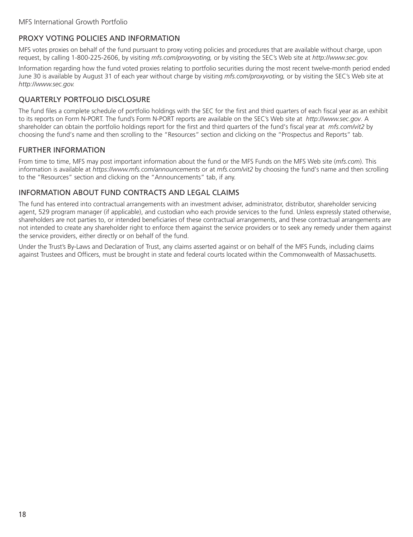# <span id="page-19-0"></span>PROXY VOTING POLICIES AND INFORMATION

MFS votes proxies on behalf of the fund pursuant to proxy voting policies and procedures that are available without charge, upon request, by calling 1-800-225-2606, by visiting *mfs.com/proxyvoting,* or by visiting the SEC's Web site at *http://www.sec.gov.*

Information regarding how the fund voted proxies relating to portfolio securities during the most recent twelve-month period ended June 30 is available by August 31 of each year without charge by visiting *mfs.com/proxyvoting,* or by visiting the SEC's Web site at *http://www.sec.gov.*

# QUARTERLY PORTFOLIO DISCLOSURE

The fund files a complete schedule of portfolio holdings with the SEC for the first and third quarters of each fiscal year as an exhibit to its reports on Form N-PORT. The fund's Form N-PORT reports are available on the SEC's Web site at *http://www.sec.gov*. A shareholder can obtain the portfolio holdings report for the first and third quarters of the fund's fiscal year at *mfs.com/vit2* by choosing the fund's name and then scrolling to the "Resources" section and clicking on the "Prospectus and Reports" tab.

# FURTHER INFORMATION

From time to time, MFS may post important information about the fund or the MFS Funds on the MFS Web site (*mfs.com*). This information is available at *https://www.mfs.com/announcements* or at *mfs.com/vit2* by choosing the fund's name and then scrolling to the "Resources" section and clicking on the "Announcements" tab, if any.

# INFORMATION ABOUT FUND CONTRACTS AND LEGAL CLAIMS

The fund has entered into contractual arrangements with an investment adviser, administrator, distributor, shareholder servicing agent, 529 program manager (if applicable), and custodian who each provide services to the fund. Unless expressly stated otherwise, shareholders are not parties to, or intended beneficiaries of these contractual arrangements, and these contractual arrangements are not intended to create any shareholder right to enforce them against the service providers or to seek any remedy under them against the service providers, either directly or on behalf of the fund.

Under the Trust's By-Laws and Declaration of Trust, any claims asserted against or on behalf of the MFS Funds, including claims against Trustees and Officers, must be brought in state and federal courts located within the Commonwealth of Massachusetts.